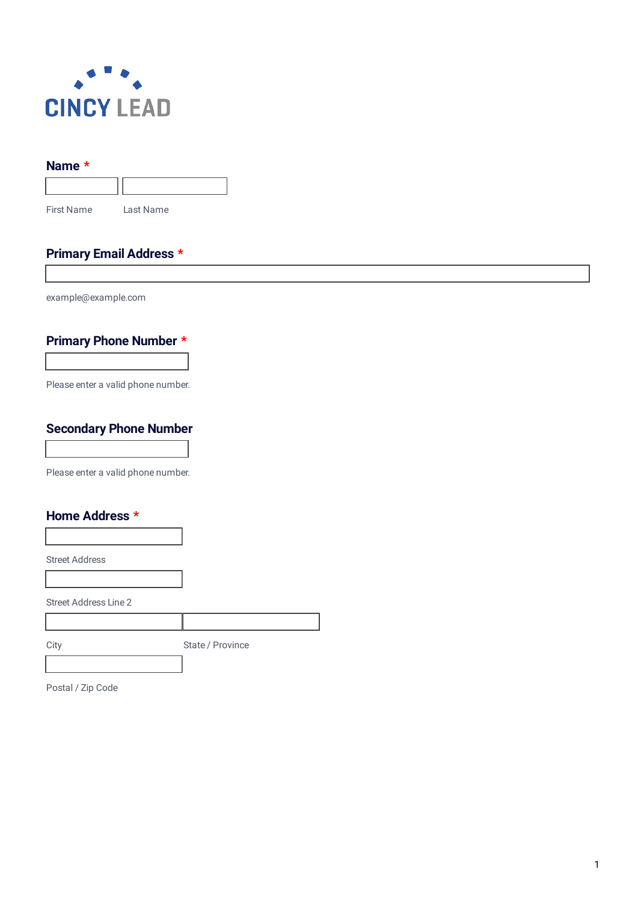

#### **Name \***

First Name Last Name

### **Primary Email Address \***

example@example.com

# **Primary Phone Number \***

Please enter a valid phone number.

#### **Secondary Phone Number**

Please enter a valid phone number.

### **Home Address \***

Street Address

Street Address Line 2

City State / Province

Postal / Zip Code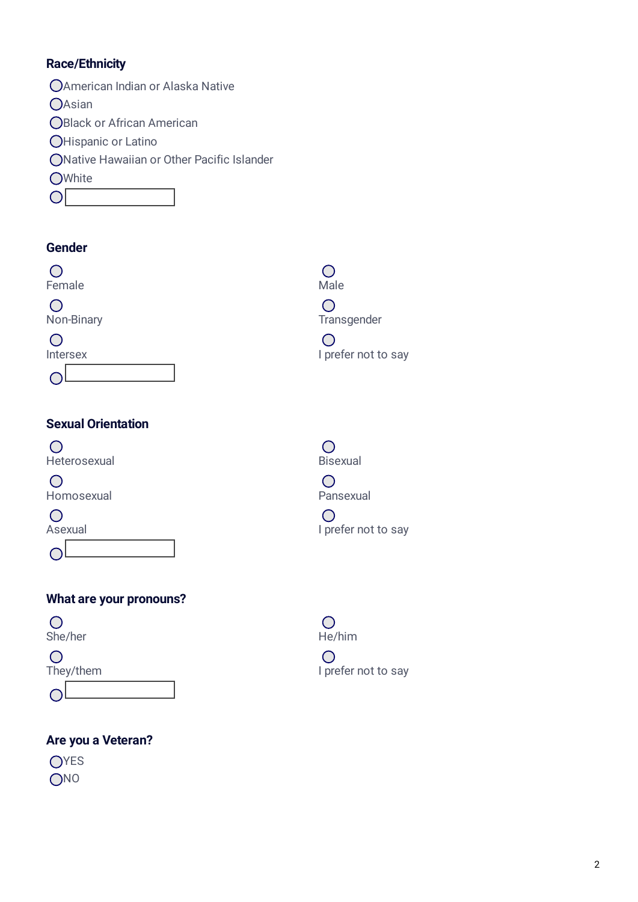## **Race/Ethnicity**

- American Indian or Alaska Native
- $O$ Asian
- **OBlack or African American**
- **OHispanic or Latino**
- Native Hawaiian or Other Pacific Islander
- **OWhite**
- $\overline{O}$

## **Gender**



# **Sexual Orientation**



 $\bigcirc$ Homosexual Pansexual

 $\bigcirc$ 

 $\bigcirc$ 

## **What are your pronouns?**





# **Are you a Veteran?**

OYES ONO

 $\bigcirc$ 

 $\bigcirc$ 

 $\bigcirc$ Asexual Asexual and the same of the same of the same of the same of the same of the same of the same of the same of the same of the same of the same of the same of the same of the same of the same of the same of the same o



 $\bigcirc$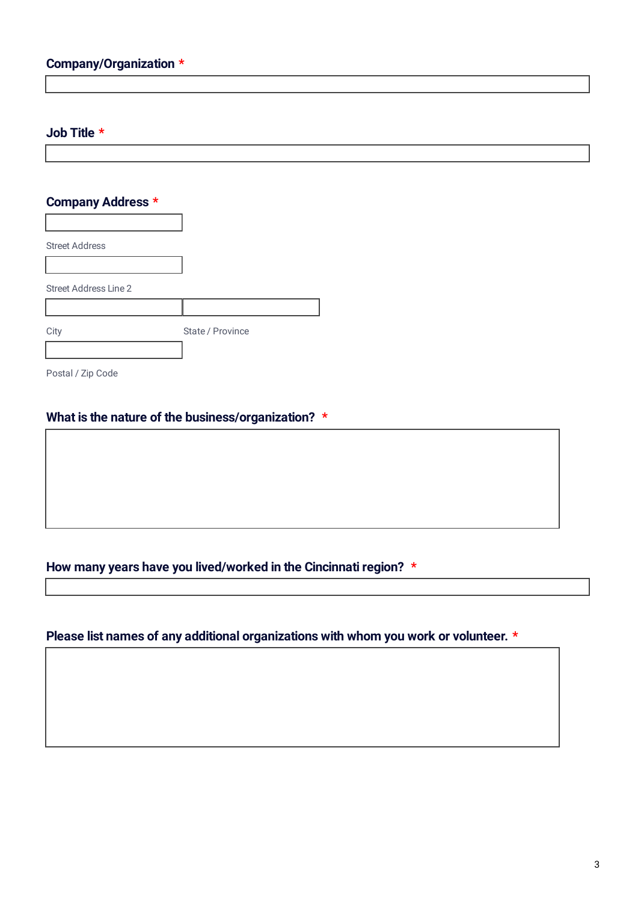#### **Job Title \***

### **Company Address \***

| <b>Street Address</b>        |                  |
|------------------------------|------------------|
|                              |                  |
| <b>Street Address Line 2</b> |                  |
|                              |                  |
| City                         | State / Province |
|                              |                  |

Postal / Zip Code

### **What is the nature of the business/organization? \***

## **How many years have you lived/worked in the Cincinnati region? \***

## **Please list names of any additional organizations with whom you work or volunteer. \***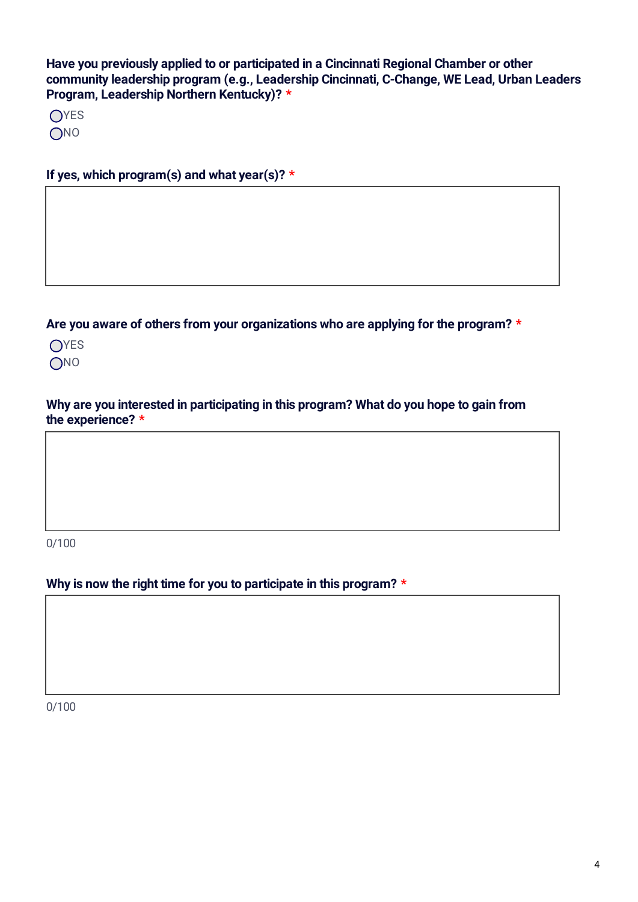**Have you previously applied to or participated in a Cincinnati Regional Chamber or other community leadership program (e.g., Leadership Cincinnati, C-Change, WE Lead, Urban Leaders Program, Leadership Northern Kentucky)? \***

**OYES ONO** 

**If yes, which program(s) and what year(s)? \***

**Are you aware of others from your organizations who are applying for the program? \***



**Why are you interested in participating in this program? What do you hope to gain from the experience? \***

0/100

# **Why is now the right time for you to participate in this program? \***

0/100